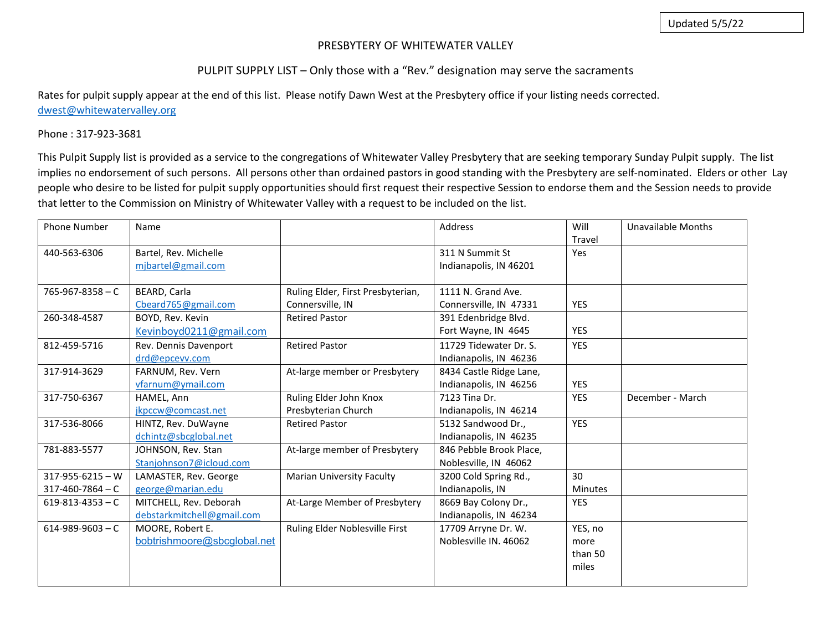#### PRESBYTERY OF WHITEWATER VALLEY

### PULPIT SUPPLY LIST – Only those with a "Rev." designation may serve the sacraments

Rates for pulpit supply appear at the end of this list. Please notify Dawn West at the Presbytery office if your listing needs corrected. [dwest@whitewatervalley.org](mailto:dwest@whitewatervalley.org)

#### Phone : 317-923-3681

This Pulpit Supply list is provided as a service to the congregations of Whitewater Valley Presbytery that are seeking temporary Sunday Pulpit supply. The list implies no endorsement of such persons. All persons other than ordained pastors in good standing with the Presbytery are self-nominated. Elders or other Lay people who desire to be listed for pulpit supply opportunities should first request their respective Session to endorse them and the Session needs to provide that letter to the Commission on Ministry of Whitewater Valley with a request to be included on the list.

| <b>Phone Number</b>    | Name                        |                                   | Address                 | Will           | <b>Unavailable Months</b> |
|------------------------|-----------------------------|-----------------------------------|-------------------------|----------------|---------------------------|
|                        |                             |                                   |                         | Travel         |                           |
| 440-563-6306           | Bartel, Rev. Michelle       |                                   | 311 N Summit St         | Yes            |                           |
|                        | mjbartel@gmail.com          |                                   | Indianapolis, IN 46201  |                |                           |
|                        |                             |                                   |                         |                |                           |
| $765 - 967 - 8358 - C$ | BEARD, Carla                | Ruling Elder, First Presbyterian, | 1111 N. Grand Ave.      |                |                           |
|                        | Cbeard765@gmail.com         | Connersville, IN                  | Connersville, IN 47331  | <b>YES</b>     |                           |
| 260-348-4587           | BOYD, Rev. Kevin            | <b>Retired Pastor</b>             | 391 Edenbridge Blvd.    |                |                           |
|                        | Kevinboyd0211@gmail.com     |                                   | Fort Wayne, IN 4645     | <b>YES</b>     |                           |
| 812-459-5716           | Rev. Dennis Davenport       | <b>Retired Pastor</b>             | 11729 Tidewater Dr. S.  | <b>YES</b>     |                           |
|                        | drd@epcevv.com              |                                   | Indianapolis, IN 46236  |                |                           |
| 317-914-3629           | FARNUM, Rev. Vern           | At-large member or Presbytery     | 8434 Castle Ridge Lane, |                |                           |
|                        | vfarnum@ymail.com           |                                   | Indianapolis, IN 46256  | <b>YES</b>     |                           |
| 317-750-6367           | HAMEL, Ann                  | Ruling Elder John Knox            | 7123 Tina Dr.           | <b>YES</b>     | December - March          |
|                        | jkpccw@comcast.net          | Presbyterian Church               | Indianapolis, IN 46214  |                |                           |
| 317-536-8066           | HINTZ, Rev. DuWayne         | <b>Retired Pastor</b>             | 5132 Sandwood Dr.,      | <b>YES</b>     |                           |
|                        | dchintz@sbcglobal.net       |                                   | Indianapolis, IN 46235  |                |                           |
| 781-883-5577           | JOHNSON, Rev. Stan          | At-large member of Presbytery     | 846 Pebble Brook Place, |                |                           |
|                        | Stanjohnson7@icloud.com     |                                   | Noblesville, IN 46062   |                |                           |
| $317 - 955 - 6215 - W$ | LAMASTER, Rev. George       | <b>Marian University Faculty</b>  | 3200 Cold Spring Rd.,   | 30             |                           |
| $317 - 460 - 7864 - C$ | george@marian.edu           |                                   | Indianapolis, IN        | <b>Minutes</b> |                           |
| $619 - 813 - 4353 - C$ | MITCHELL, Rev. Deborah      | At-Large Member of Presbytery     | 8669 Bay Colony Dr.,    | <b>YES</b>     |                           |
|                        | debstarkmitchell@gmail.com  |                                   | Indianapolis, IN 46234  |                |                           |
| $614 - 989 - 9603 - C$ | MOORE, Robert E.            | Ruling Elder Noblesville First    | 17709 Arryne Dr. W.     | YES, no        |                           |
|                        | bobtrishmoore@sbcglobal.net |                                   | Noblesville IN, 46062   | more           |                           |
|                        |                             |                                   |                         | than 50        |                           |
|                        |                             |                                   |                         | miles          |                           |
|                        |                             |                                   |                         |                |                           |